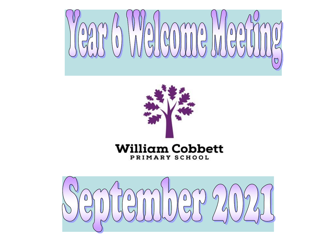



#### **William Cobbett** PRIMARY SCHOOL

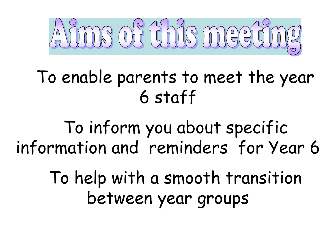

# ❖To enable parents to meet the year 6 staff

❖To inform you about specific information and reminders for Year 6

> ❖To help with a smooth transition between year groups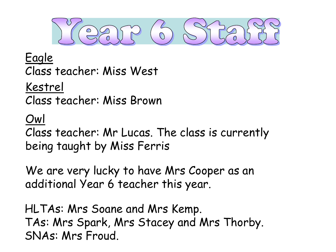$\overline{0}$ 

#### Eagle Class teacher: Miss West

Kestrel

Class teacher: Miss Brown

### Owl

Class teacher: Mr Lucas. The class is currently being taught by Miss Ferris

We are very lucky to have Mrs Cooper as an additional Year 6 teacher this year..

HLTAs: Mrs Soane and Mrs Kemp. TAs: Mrs Spark, Mrs Stacey and Mrs Thorby. SNAs: Mrs Froud.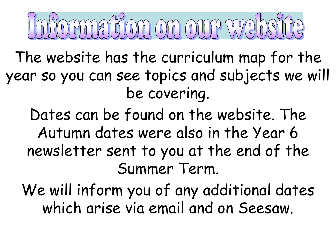# mathom on our we

The website has the curriculum map for the year so you can see topics and subjects we will be covering.

Dates can be found on the website. The Autumn dates were also in the Year 6 newsletter sent to you at the end of the Summer Term.

We will inform you of any additional dates which arise via email and on Seesaw.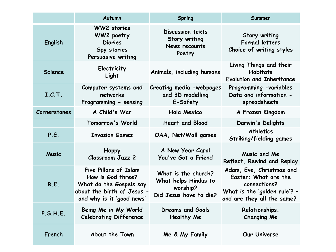|                     | Autumn                                                                                                                                  | <b>Spring</b>                                                                     | Summer                                                                                                                         |
|---------------------|-----------------------------------------------------------------------------------------------------------------------------------------|-----------------------------------------------------------------------------------|--------------------------------------------------------------------------------------------------------------------------------|
| English             | <b>WW2</b> stories<br>WW2 poetry<br><b>Diaries</b><br>Spy stories<br>Persuasive writing                                                 | Discussion texts<br>Story writing<br>News recounts<br>Poetry                      | Story writing<br><b>Formal letters</b><br>Choice of writing styles                                                             |
| <b>Science</b>      | Electricity<br>Light                                                                                                                    | Animals, including humans                                                         | Living Things and their<br><b>Habitats</b><br><b>Evolution and Inheritance</b>                                                 |
| I.C.T.              | Computer systems and<br>networks<br>Programming - sensing                                                                               | Creating media -webpages<br>and 3D modelling<br>E-Safety                          | Programming -variables<br>Data and information -<br>spreadsheets                                                               |
| <b>Cornerstones</b> | A Child's War                                                                                                                           | Hola Mexico                                                                       | A Frozen Kingdom                                                                                                               |
|                     | Tomorrow's World                                                                                                                        | <b>Heart and Blood</b>                                                            | Darwin's Delights                                                                                                              |
| P.E.                | <b>Invasion Games</b>                                                                                                                   | OAA, Net/Wall games                                                               | <b>Athletics</b><br>Striking/fielding games                                                                                    |
| <b>Music</b>        | <b>Happy</b><br><b>Classroom Jazz 2</b>                                                                                                 | A New Year Carol<br>You've Got a Friend                                           | Music and Me<br>Reflect, Rewind and Replay                                                                                     |
| R.E.                | <b>Five Pillars of Islam</b><br>How is God three?<br>What do the Gospels say<br>about the birth of Jesus -<br>and why is it 'good news' | What is the church?<br>What helps Hindus to<br>worship?<br>Did Jesus have to die? | Adam, Eve, Christmas and<br>Easter: What are the<br>connections?<br>What is the 'golden rule'? -<br>and are they all the same? |
| P.S.H.E.            | Being Me in My World<br><b>Celebrating Difference</b>                                                                                   | <b>Dreams and Goals</b><br><b>Healthy Me</b>                                      | Relationships.<br><b>Changing Me</b>                                                                                           |
| French              | About the Town                                                                                                                          | Me & My Family                                                                    | Our Universe                                                                                                                   |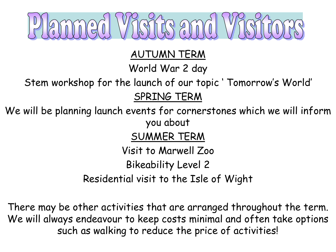

AUTUMN TERM

World War 2 day

Stem workshop for the launch of our topic ' Tomorrow's World' SPRING TERM

We will be planning launch events for cornerstones which we will inform you about

SUMMER TERM

Visit to Marwell Zoo

Bikeability Level 2

Residential visit to the Isle of Wight

There may be other activities that are arranged throughout the term. We will always endeavour to keep costs minimal and often take options such as walking to reduce the price of activities!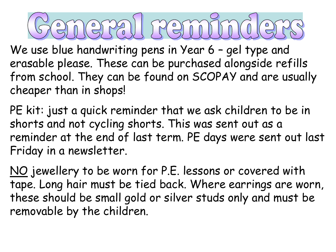## PAIL FREITH  $\circ$

We use blue handwriting pens in Year 6 - gel type and erasable please. These can be purchased alongside refills from school. They can be found on SCOPAY and are usually cheaper than in shops!

PE kit: just a quick reminder that we ask children to be in shorts and not cycling shorts. This was sent out as a reminder at the end of last term. PE days were sent out last Friday in a newsletter.

NO jewellery to be worn for P.E. lessons or covered with tape. Long hair must be tied back. Where earrings are worn, these should be small gold or silver studs only and must be removable by the children.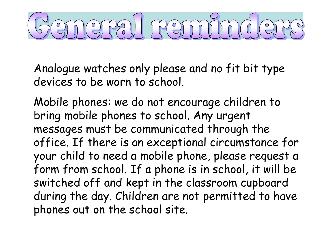# eral remi

Analogue watches only please and no fit bit type devices to be worn to school.

Mobile phones: we do not encourage children to bring mobile phones to school. Any urgent messages must be communicated through the office. If there is an exceptional circumstance for your child to need a mobile phone, please request a form from school. If a phone is in school, it will be switched off and kept in the classroom cupboard during the day. Children are not permitted to have phones out on the school site.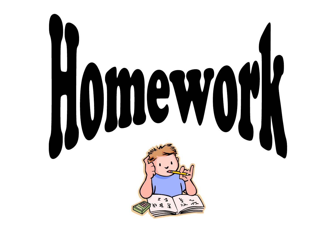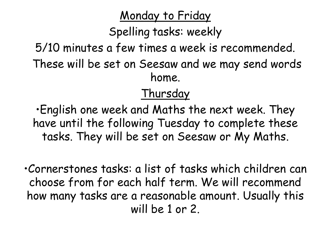### Monday to Friday

Spelling tasks: weekly

5/10 minutes a few times a week is recommended. These will be set on Seesaw and we may send words home.

### Thursday

•English one week and Maths the next week. They have until the following Tuesday to complete these tasks. They will be set on Seesaw or My Maths.

•Cornerstones tasks: a list of tasks which children can choose from for each half term. We will recommend how many tasks are a reasonable amount. Usually this will be 1 or 2.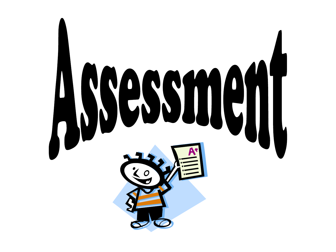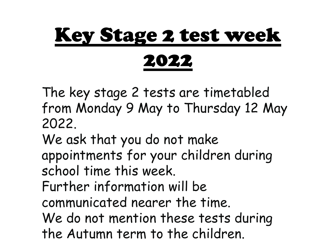# Key Stage 2 test week 2022

The key stage 2 tests are timetabled from Monday 9 May to Thursday 12 May 2022.

We ask that you do not make appointments for your children during school time this week.

Further information will be

communicated nearer the time.

We do not mention these tests during the Autumn term to the children.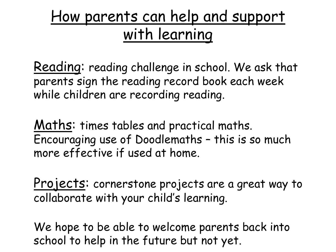## How parents can help and support with learning

Reading: reading challenge in school. We ask that parents sign the reading record book each week while children are recording reading.

Maths: times tables and practical maths. Encouraging use of Doodlemaths – this is so much more effective if used at home.

Projects: cornerstone projects are a great way to collaborate with your child's learning.

We hope to be able to welcome parents back into school to help in the future but not yet.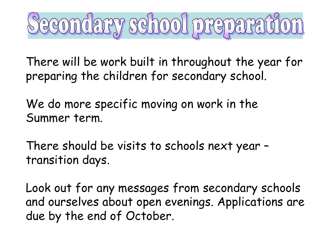

There will be work built in throughout the year for preparing the children for secondary school.

We do more specific moving on work in the Summer term.

There should be visits to schools next year – transition days.

Look out for any messages from secondary schools and ourselves about open evenings. Applications are due by the end of October.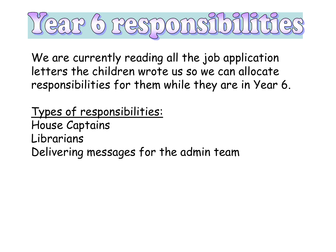

We are currently reading all the job application letters the children wrote us so we can allocate responsibilities for them while they are in Year 6.

Types of responsibilities: House Captains Librarians Delivering messages for the admin team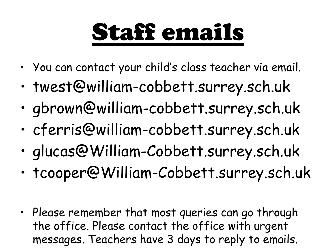# Staff emails

- You can contact your child's class teacher via email.
- twest@william-cobbett.surrey.sch.uk
- gbrown@william-cobbett.surrey.sch.uk
- cferris@william-cobbett.surrey.sch.uk
- glucas@William-Cobbett.surrey.sch.uk
- tcooper@William-Cobbett.surrey.sch.uk
- Please remember that most queries can go through the office. Please contact the office with urgent messages. Teachers have 3 days to reply to emails.